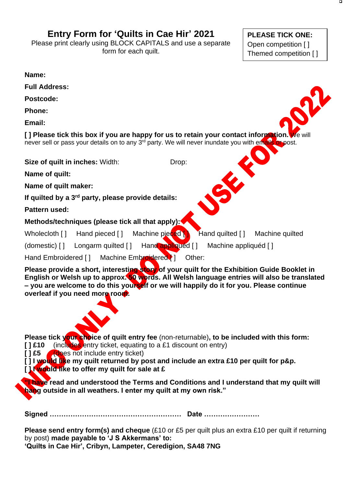## **Entry Form for 'Quilts in Cae Hir' 2021**

Please print clearly using BLOCK CAPITALS and use a separate form for each quilt.

**PLEASE TICK ONE:** Open competition [ ] Themed competition [ ]

**Name:**

**Full Address:**

**Postcode:**

**Phone:**

**Email:**

**[ ] Please tick this box if you are happy for us to retain your contact information. We will** never sell or pass your details on to any 3<sup>rd</sup> party. We will never inundate you with emails or post.

**Size of quilt in inches:** Width: Drop:

**Name of quilt:**

**Name of quilt maker:**

**If quilted by a 3rd party, please provide details:**

**Pattern used:**

**Methods/techniques (please tick all that apply):**

Wholecloth [ ] Hand pieced [ ] Machine pieced **[ ]** Hand quilted [ ] Machine quilted

(domestic) [ ] Longarm quilted [ ] Hand appliqued [ ] Machine appliquéd [ ]

Hand Embroidered [ ] Machine Embroidered [ ] Other:

**Please provide a short, interesting story of your quilt for the Exhibition Guide Booklet in English or Welsh up to approx. 50 words. All Welsh language entries will also be translated – you are welcome to do this yourself or we will happily do it for you. Please continue overleaf if you need more room.**

**Please tick your choice of quilt entry fee** (non-returnable)**, to be included with this form: [ ] £10** (includes entry ticket, equating to a £1 discount on entry)

**[ ] £5** (does not include entry ticket)

**[ ] I would like my quilt returned by post and include an extra £10 per quilt for p&p. [ ] I would like to offer my quilt for sale at £**

**"I have read and understood the Terms and Conditions and I understand that my quilt will hang outside in all weathers. I enter my quilt at my own risk."**

**Signed ………………………………………………… Date ……………………**

**Please send entry form(s) and cheque** (£10 or £5 per quilt plus an extra £10 per quilt if returning by post) **made payable to 'J S Akkermans' to: 'Quilts in Cae Hir', Cribyn, Lampeter, Ceredigion, SA48 7NG**